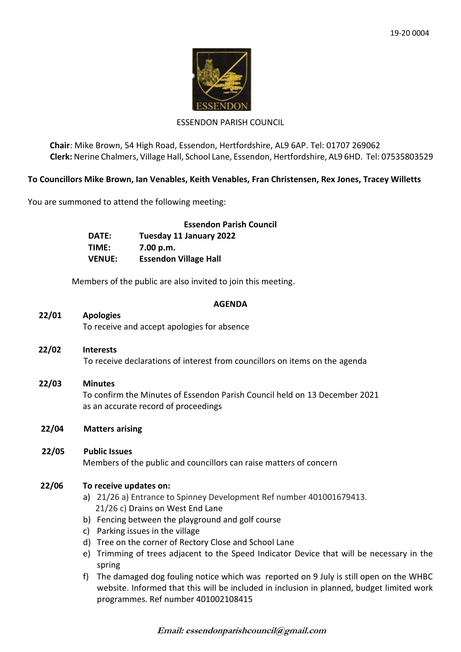

#### ESSENDON PARISH COUNCIL

**Chair**: Mike Brown, 54 High Road, Essendon, Hertfordshire, AL9 6AP. Tel: 01707 269062 **Clerk:** Nerine Chalmers, Village Hall, School Lane, Essendon, Hertfordshire, AL9 6HD. Tel: 07535803529

# **To Councillors Mike Brown, Ian Venables, Keith Venables, Fran Christensen, Rex Jones, Tracey Willetts**

You are summoned to attend the following meeting:

|               | <b>Essendon Parish Council</b> |
|---------------|--------------------------------|
| DATE:         | Tuesday 11 January 2022        |
| TIME:         | 7.00 p.m.                      |
| <b>VENUE:</b> | <b>Essendon Village Hall</b>   |

Members of the public are also invited to join this meeting.

#### **AGENDA**

# **22/01 Apologies**

To receive and accept apologies for absence

- **22/02 Interests** To receive declarations of interest from councillors on items on the agenda
- **22/03 Minutes** To confirm the Minutes of Essendon Parish Council held on 13 December 2021 as an accurate record of proceedings
- **22/04 Matters arising**
- **22/05 Public Issues** Members of the public and councillors can raise matters of concern

## **22/06 To receive updates on:**

- a) 21/26 a) Entrance to Spinney Development Ref number 401001679413. 21/26 c) Drains on West End Lane
- b) Fencing between the playground and golf course
- c) Parking issues in the village
- d) Tree on the corner of Rectory Close and School Lane
- e) Trimming of trees adjacent to the Speed Indicator Device that will be necessary in the spring
- f) The damaged dog fouling notice which was reported on 9 July is still open on the WHBC website. Informed that this will be included in inclusion in planned, budget limited work programmes. Ref number 401002108415

**Email: essendonparishcouncil@gmail.com**